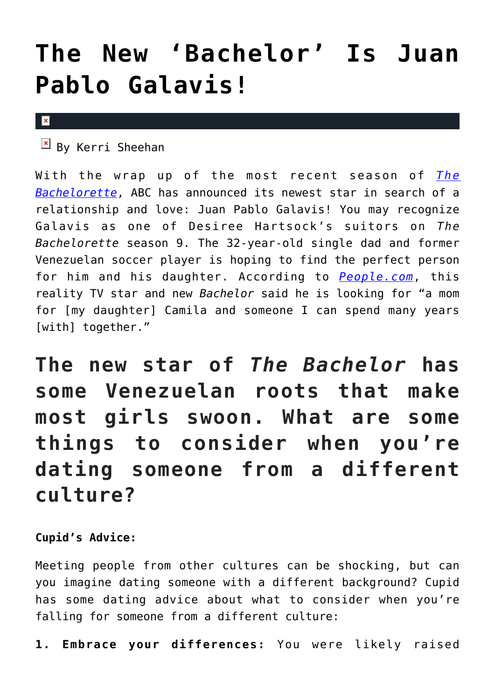## **[The New 'Bachelor' Is Juan](https://cupidspulse.com/55828/new-bachelor-juan-pablo-galavis/) [Pablo Galavis!](https://cupidspulse.com/55828/new-bachelor-juan-pablo-galavis/)**

## $\mathbf x$

 $\overline{B}$  By Kerri Sheehan

With the wrap up of the most recent season of *[The](http://cupidspulse.com/reality-tv-couples/the-bachelorette/desiree-hartsock-season-9/) [Bachelorette](http://cupidspulse.com/reality-tv-couples/the-bachelorette/desiree-hartsock-season-9/)*, ABC has announced its newest star in search of a relationship and love: Juan Pablo Galavis! You may recognize Galavis as one of Desiree Hartsock's suitors on *The Bachelorette* season 9. The 32-year-old single dad and former Venezuelan soccer player is hoping to find the perfect person for him and his daughter. According to *[People.com](http://www.people.com/people/article/0,,20723328,00.html)*, this reality TV star and new *Bachelor* said he is looking for "a mom for [my daughter] Camila and someone I can spend many years [with] together."

**The new star of** *The Bachelor* **has some Venezuelan roots that make most girls swoon. What are some things to consider when you're dating someone from a different culture?**

## **Cupid's Advice:**

Meeting people from other cultures can be shocking, but can you imagine dating someone with a different background? Cupid has some dating advice about what to consider when you're falling for someone from a different culture:

**1. Embrace your differences:** You were likely raised